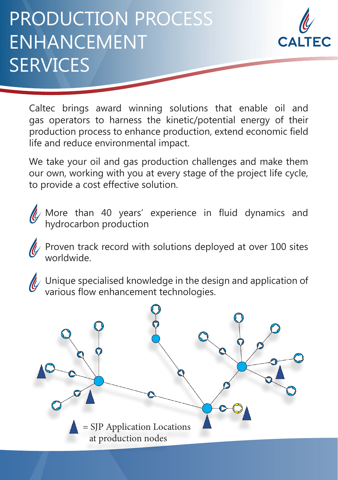## PRODUCTION PROCESS ENHANCEMENT **SERVICES**



Caltec brings award winning solutions that enable oil and gas operators to harness the kinetic/potential energy of their production process to enhance production, extend economic field life and reduce environmental impact.

We take your oil and gas production challenges and make them our own, working with you at every stage of the project life cycle, to provide a cost effective solution.



More than 40 years' experience in fluid dynamics and hydrocarbon production

Proven track record with solutions deployed at over 100 sites worldwide.



 $\mathscr{U}$  Unique specialised knowledge in the design and application of various flow enhancement technologies.